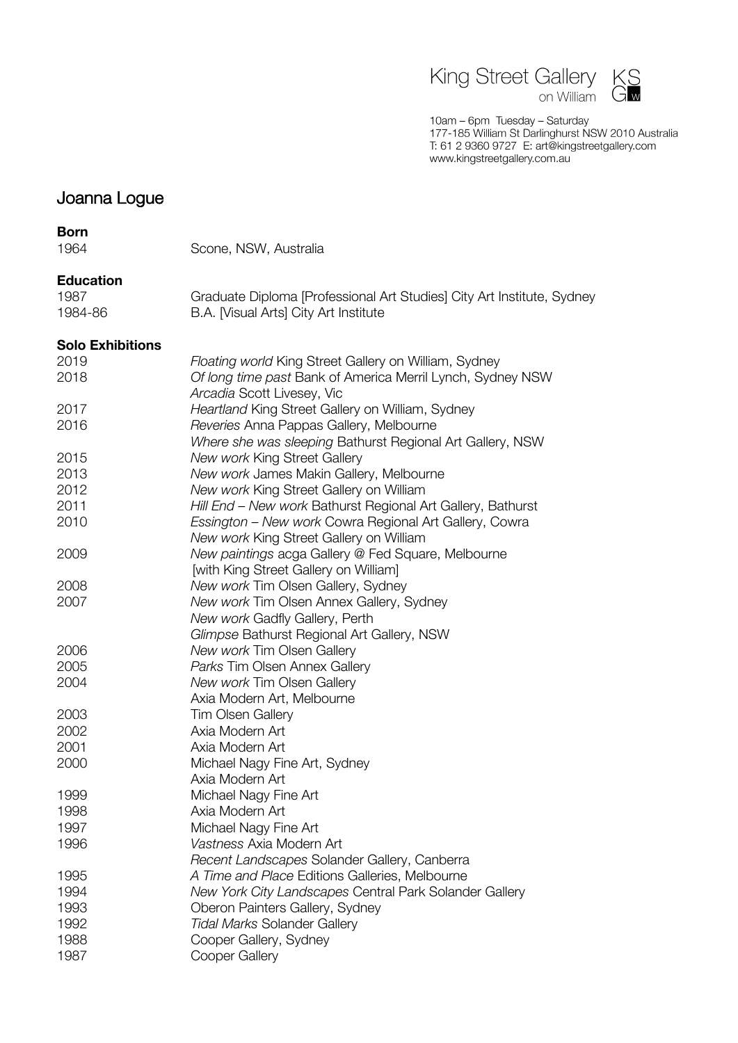

10am - 6pm Tuesday - Saturday 10am – opm. Tuesday – Saturday<br>177-185 William St Darlinghurst NSW 2010 Australia<br>T: 61 2 9360 9727 E: art@kingstreetgallery.com<br>www.kingstreetgallery.com.au

# Joanna Logue

#### **Born**

Scone, NSW, Australia

# **Education**

| 1987    | Graduate Diploma [Professional Art Studies] City Art Institute, Sydney |
|---------|------------------------------------------------------------------------|
| 1984-86 | B.A. [Visual Arts] City Art Institute                                  |

# **Solo Exhibitions**

| טווט באוווטונוט |                                                             |
|-----------------|-------------------------------------------------------------|
| 2019            | Floating world King Street Gallery on William, Sydney       |
| 2018            | Of long time past Bank of America Merril Lynch, Sydney NSW  |
|                 | Arcadia Scott Livesey, Vic                                  |
| 2017            | Heartland King Street Gallery on William, Sydney            |
| 2016            | Reveries Anna Pappas Gallery, Melbourne                     |
|                 | Where she was sleeping Bathurst Regional Art Gallery, NSW   |
| 2015            | New work King Street Gallery                                |
| 2013            | New work James Makin Gallery, Melbourne                     |
| 2012            | New work King Street Gallery on William                     |
| 2011            | Hill End - New work Bathurst Regional Art Gallery, Bathurst |
| 2010            | Essington - New work Cowra Regional Art Gallery, Cowra      |
|                 | New work King Street Gallery on William                     |
| 2009            | New paintings acga Gallery @ Fed Square, Melbourne          |
|                 | [with King Street Gallery on William]                       |
| 2008            | New work Tim Olsen Gallery, Sydney                          |
| 2007            | New work Tim Olsen Annex Gallery, Sydney                    |
|                 | New work Gadfly Gallery, Perth                              |
|                 | Glimpse Bathurst Regional Art Gallery, NSW                  |
| 2006            | New work Tim Olsen Gallery                                  |
| 2005            | Parks Tim Olsen Annex Gallery                               |
| 2004            | New work Tim Olsen Gallery                                  |
|                 | Axia Modern Art, Melbourne                                  |
| 2003            | <b>Tim Olsen Gallery</b>                                    |
| 2002            | Axia Modern Art                                             |
| 2001            | Axia Modern Art                                             |
| 2000            | Michael Nagy Fine Art, Sydney                               |
|                 | Axia Modern Art                                             |
| 1999            | Michael Nagy Fine Art                                       |
| 1998            | Axia Modern Art                                             |
| 1997            | Michael Nagy Fine Art                                       |
| 1996            | Vastness Axia Modern Art                                    |
|                 | Recent Landscapes Solander Gallery, Canberra                |
| 1995            | A Time and Place Editions Galleries, Melbourne              |
| 1994            | New York City Landscapes Central Park Solander Gallery      |
| 1993            | Oberon Painters Gallery, Sydney                             |
| 1992            | <b>Tidal Marks Solander Gallery</b>                         |
| 1988            | Cooper Gallery, Sydney                                      |
| 1987            | Cooper Gallery                                              |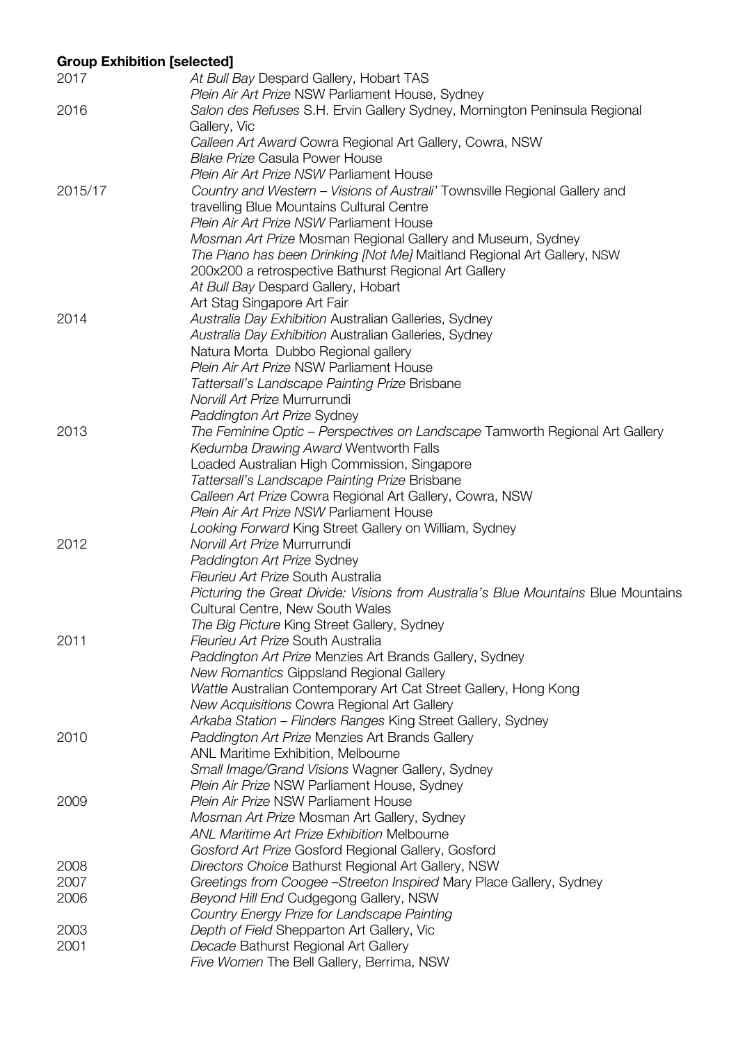# **Group Exhibition [selected]**

| 2017    | At Bull Bay Despard Gallery, Hobart TAS                                            |
|---------|------------------------------------------------------------------------------------|
|         | Plein Air Art Prize NSW Parliament House, Sydney                                   |
| 2016    | Salon des Refuses S.H. Ervin Gallery Sydney, Mornington Peninsula Regional         |
|         | Gallery, Vic                                                                       |
|         | Calleen Art Award Cowra Regional Art Gallery, Cowra, NSW                           |
|         | <b>Blake Prize Casula Power House</b>                                              |
|         | Plein Air Art Prize NSW Parliament House                                           |
| 2015/17 | Country and Western – Visions of Australi' Townsville Regional Gallery and         |
|         | travelling Blue Mountains Cultural Centre                                          |
|         | Plein Air Art Prize NSW Parliament House                                           |
|         | Mosman Art Prize Mosman Regional Gallery and Museum, Sydney                        |
|         | The Piano has been Drinking [Not Me] Maitland Regional Art Gallery, NSW            |
|         | 200x200 a retrospective Bathurst Regional Art Gallery                              |
|         | At Bull Bay Despard Gallery, Hobart                                                |
|         | Art Stag Singapore Art Fair                                                        |
| 2014    | Australia Day Exhibition Australian Galleries, Sydney                              |
|         | Australia Day Exhibition Australian Galleries, Sydney                              |
|         | Natura Morta Dubbo Regional gallery                                                |
|         | Plein Air Art Prize NSW Parliament House                                           |
|         | Tattersall's Landscape Painting Prize Brisbane                                     |
|         | Norvill Art Prize Murrurrundi                                                      |
|         | Paddington Art Prize Sydney                                                        |
| 2013    | The Feminine Optic – Perspectives on Landscape Tamworth Regional Art Gallery       |
|         | Kedumba Drawing Award Wentworth Falls                                              |
|         | Loaded Australian High Commission, Singapore                                       |
|         | Tattersall's Landscape Painting Prize Brisbane                                     |
|         | Calleen Art Prize Cowra Regional Art Gallery, Cowra, NSW                           |
|         | Plein Air Art Prize NSW Parliament House                                           |
|         | Looking Forward King Street Gallery on William, Sydney                             |
| 2012    | Norvill Art Prize Murrurrundi                                                      |
|         | Paddington Art Prize Sydney                                                        |
|         | Fleurieu Art Prize South Australia                                                 |
|         | Picturing the Great Divide: Visions from Australia's Blue Mountains Blue Mountains |
|         | Cultural Centre, New South Wales                                                   |
|         | The Big Picture King Street Gallery, Sydney                                        |
| 2011    | Fleurieu Art Prize South Australia                                                 |
|         | Paddington Art Prize Menzies Art Brands Gallery, Sydney                            |
|         | New Romantics Gippsland Regional Gallery                                           |
|         | Wattle Australian Contemporary Art Cat Street Gallery, Hong Kong                   |
|         | New Acquisitions Cowra Regional Art Gallery                                        |
|         | Arkaba Station - Flinders Ranges King Street Gallery, Sydney                       |
| 2010    | Paddington Art Prize Menzies Art Brands Gallery                                    |
|         | <b>ANL Maritime Exhibition, Melbourne</b>                                          |
|         | Small Image/Grand Visions Wagner Gallery, Sydney                                   |
|         | Plein Air Prize NSW Parliament House, Sydney                                       |
| 2009    | Plein Air Prize NSW Parliament House                                               |
|         | Mosman Art Prize Mosman Art Gallery, Sydney                                        |
|         | ANL Maritime Art Prize Exhibition Melbourne                                        |
|         | Gosford Art Prize Gosford Regional Gallery, Gosford                                |
| 2008    | Directors Choice Bathurst Regional Art Gallery, NSW                                |
| 2007    | Greetings from Coogee - Streeton Inspired Mary Place Gallery, Sydney               |
| 2006    | Beyond Hill End Cudgegong Gallery, NSW                                             |
|         | Country Energy Prize for Landscape Painting                                        |
| 2003    | Depth of Field Shepparton Art Gallery, Vic                                         |
| 2001    | Decade Bathurst Regional Art Gallery                                               |
|         | Five Women The Bell Gallery, Berrima, NSW                                          |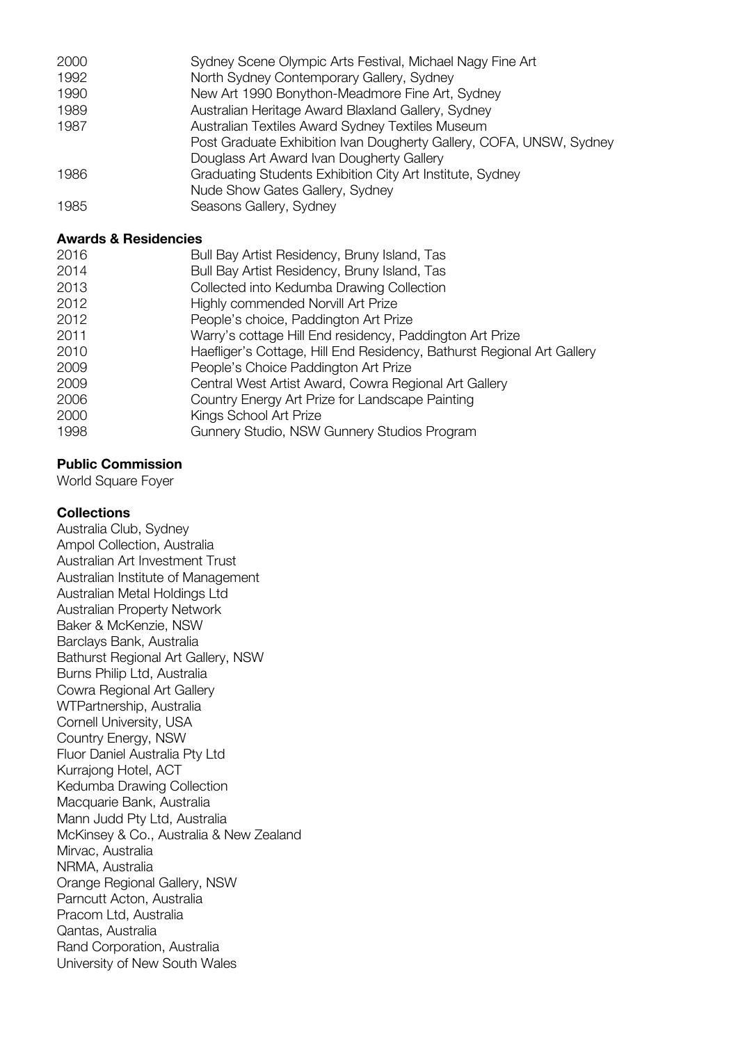| Post Graduate Exhibition Ivan Dougherty Gallery, COFA, UNSW, Sydney |
|---------------------------------------------------------------------|
|                                                                     |
|                                                                     |
|                                                                     |
|                                                                     |
|                                                                     |

# **Awards & Residencies**

| 2016 | Bull Bay Artist Residency, Bruny Island, Tas                           |
|------|------------------------------------------------------------------------|
| 2014 | Bull Bay Artist Residency, Bruny Island, Tas                           |
| 2013 | Collected into Kedumba Drawing Collection                              |
| 2012 | Highly commended Norvill Art Prize                                     |
| 2012 | People's choice, Paddington Art Prize                                  |
| 2011 | Warry's cottage Hill End residency, Paddington Art Prize               |
| 2010 | Haefliger's Cottage, Hill End Residency, Bathurst Regional Art Gallery |
| 2009 | People's Choice Paddington Art Prize                                   |
| 2009 | Central West Artist Award, Cowra Regional Art Gallery                  |
| 2006 | Country Energy Art Prize for Landscape Painting                        |
| 2000 | Kings School Art Prize                                                 |
| 1998 | Gunnery Studio, NSW Gunnery Studios Program                            |
|      |                                                                        |

# **Public Commission**

World Square Foyer

# **Collections**

Australia Club, Sydney Ampol Collection, Australia Australian Art Investment Trust Australian Institute of Management Australian Metal Holdings Ltd Australian Property Network Baker & McKenzie, NSW Barclays Bank, Australia Bathurst Regional Art Gallery, NSW Burns Philip Ltd, Australia Cowra Regional Art Gallery WTPartnership, Australia Cornell University, USA Country Energy, NSW Fluor Daniel Australia Pty Ltd Kurrajong Hotel, ACT Kedumba Drawing Collection Macquarie Bank, Australia Mann Judd Pty Ltd, Australia McKinsey & Co., Australia & New Zealand Mirvac, Australia NRMA, Australia Orange Regional Gallery, NSW Parncutt Acton, Australia Pracom Ltd, Australia Qantas, Australia Rand Corporation, Australia University of New South Wales